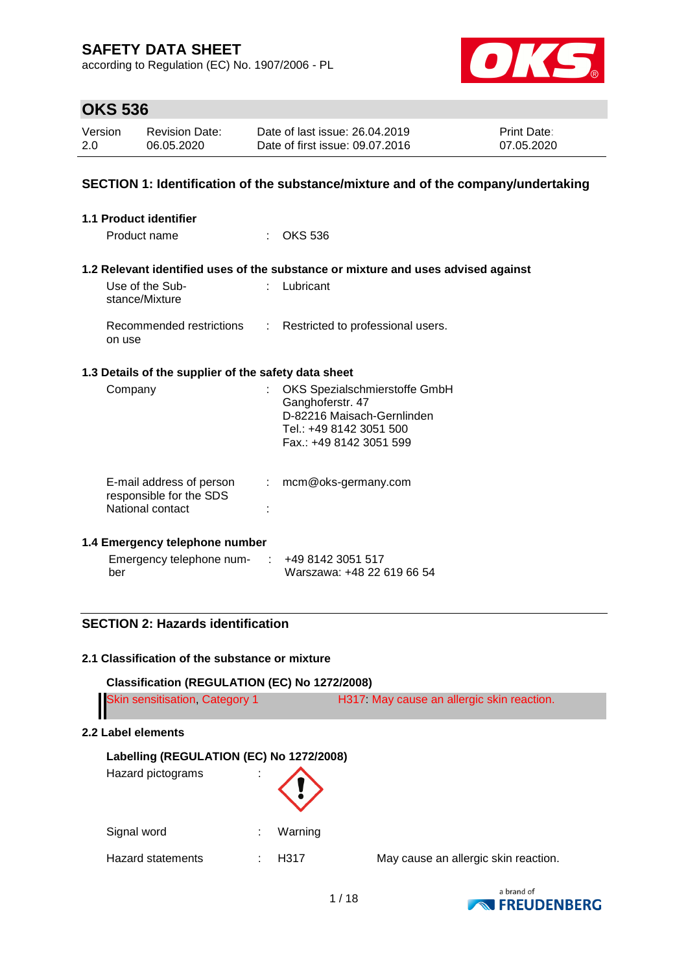according to Regulation (EC) No. 1907/2006 - PL



# **OKS 536**

| Version | <b>Revision Date:</b> | Date of last issue: 26.04.2019  | <b>Print Date:</b> |
|---------|-----------------------|---------------------------------|--------------------|
| 2.0     | 06.05.2020            | Date of first issue: 09.07.2016 | 07.05.2020         |

### **SECTION 1: Identification of the substance/mixture and of the company/undertaking**

| <b>1.1 Product identifier</b>                                           |                                                                                                                                       |  |
|-------------------------------------------------------------------------|---------------------------------------------------------------------------------------------------------------------------------------|--|
| Product name                                                            | <b>OKS 536</b>                                                                                                                        |  |
|                                                                         | 1.2 Relevant identified uses of the substance or mixture and uses advised against                                                     |  |
| Use of the Sub-<br>stance/Mixture                                       | Lubricant                                                                                                                             |  |
| Recommended restrictions<br>on use                                      | Restricted to professional users.<br>$\mathbb{Z}^{\mathbb{Z}}$                                                                        |  |
| 1.3 Details of the supplier of the safety data sheet                    |                                                                                                                                       |  |
| Company                                                                 | OKS Spezialschmierstoffe GmbH<br>Ganghoferstr. 47<br>D-82216 Maisach-Gernlinden<br>Tel.: +49 8142 3051 500<br>Fax.: +49 8142 3051 599 |  |
| E-mail address of person<br>responsible for the SDS<br>National contact | mcm@oks-germany.com<br>÷.                                                                                                             |  |
| 1.4 Emergency telephone number                                          |                                                                                                                                       |  |

| Emergency telephone num- | +49 8142 3051 517          |
|--------------------------|----------------------------|
| ber                      | Warszawa: +48 22 619 66 54 |

## **SECTION 2: Hazards identification**

### **2.1 Classification of the substance or mixture**

| Classification (REGULATION (EC) No 1272/2008)                 |                   |         |                                           |  |
|---------------------------------------------------------------|-------------------|---------|-------------------------------------------|--|
| <b>Skin sensitisation, Category 1</b>                         |                   |         | H317 May cause an allergic skin reaction. |  |
| 2.2 Label elements                                            |                   |         |                                           |  |
| Labelling (REGULATION (EC) No 1272/2008)<br>Hazard pictograms |                   |         |                                           |  |
| Signal word                                                   |                   | Warning |                                           |  |
| Hazard statements                                             | H <sub>3</sub> 17 |         | May cause an allergic skin reaction.      |  |

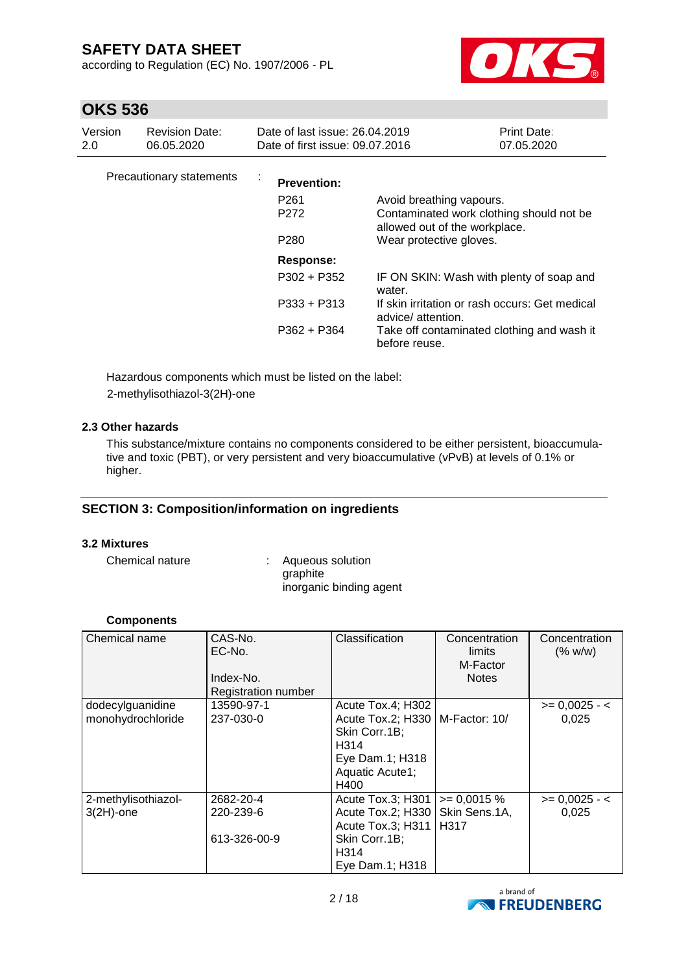according to Regulation (EC) No. 1907/2006 - PL



# **OKS 536**

| Version<br>2.0 | <b>Revision Date:</b><br>06.05.2020 | Date of last issue: 26.04.2019<br>Date of first issue: 09.07.2016 |                                                                      | <b>Print Date:</b><br>07.05.2020 |
|----------------|-------------------------------------|-------------------------------------------------------------------|----------------------------------------------------------------------|----------------------------------|
|                | Precautionary statements            | <b>Prevention:</b><br>P <sub>261</sub><br>P <sub>272</sub>        | Avoid breathing vapours.<br>Contaminated work clothing should not be |                                  |
|                |                                     | P <sub>280</sub>                                                  | allowed out of the workplace.<br>Wear protective gloves.             |                                  |
|                |                                     | Response:                                                         |                                                                      |                                  |
|                |                                     | $P302 + P352$                                                     | IF ON SKIN: Wash with plenty of soap and<br>water.                   |                                  |
|                |                                     | $P333 + P313$                                                     | If skin irritation or rash occurs: Get medical<br>advice/attention.  |                                  |
|                |                                     | P362 + P364                                                       | Take off contaminated clothing and wash it<br>before reuse.          |                                  |

Hazardous components which must be listed on the label: 2-methylisothiazol-3(2H)-one

### **2.3 Other hazards**

This substance/mixture contains no components considered to be either persistent, bioaccumulative and toxic (PBT), or very persistent and very bioaccumulative (vPvB) at levels of 0.1% or higher.

## **SECTION 3: Composition/information on ingredients**

### **3.2 Mixtures**

Chemical nature : Aqueous solution graphite inorganic binding agent

#### **Components**

| Chemical name                         | CAS-No.<br>EC-No.<br>Index-No.<br>Registration number | Classification                                                                                                                | Concentration<br>limits<br>M-Factor<br><b>Notes</b> | Concentration<br>(% w/w) |
|---------------------------------------|-------------------------------------------------------|-------------------------------------------------------------------------------------------------------------------------------|-----------------------------------------------------|--------------------------|
| dodecylguanidine<br>monohydrochloride | 13590-97-1<br>237-030-0                               | Acute Tox.4; H302<br>Acute Tox.2; H330   M-Factor: 10/<br>Skin Corr.1B;<br>H314<br>Eye Dam.1; H318<br>Aquatic Acute1;<br>H400 |                                                     | $>= 0,0025 - 1$<br>0,025 |
| 2-methylisothiazol-<br>$3(2H)$ -one   | 2682-20-4<br>220-239-6<br>613-326-00-9                | Acute Tox.3; H301<br>Acute Tox.2; H330  <br>Acute Tox.3; H311<br>Skin Corr.1B;<br>H314<br>Eye Dam.1; H318                     | $= 0,0015 %$<br>Skin Sens.1A,<br>H317               | $>= 0,0025 - 1$<br>0,025 |

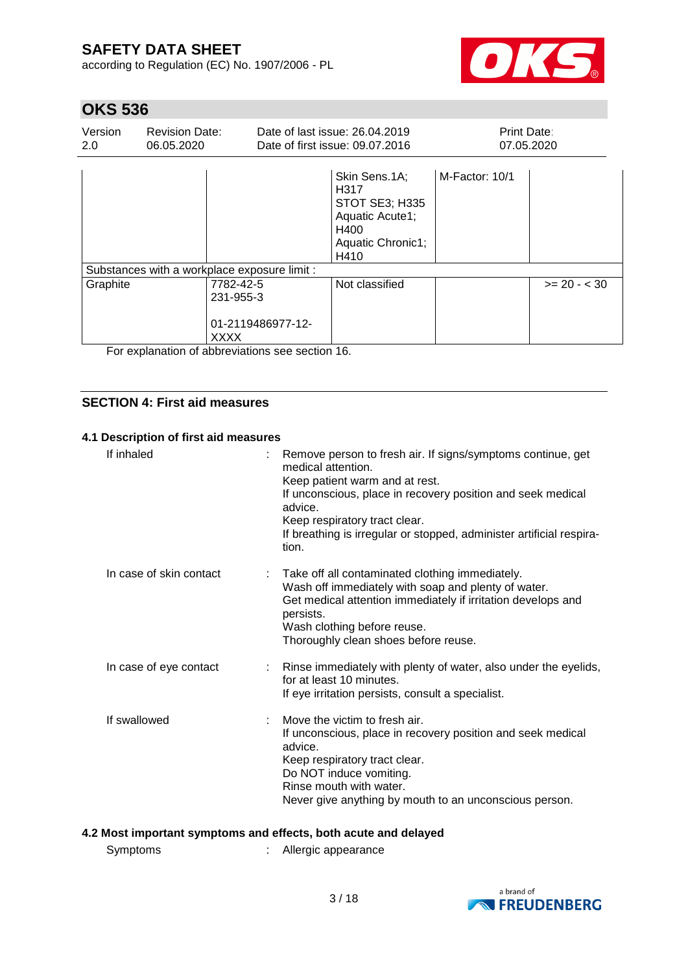according to Regulation (EC) No. 1907/2006 - PL



# **OKS 536**

| Version<br>2.0 | <b>Revision Date:</b><br>06.05.2020                                                                                           |                                                            | Date of last issue: 26.04.2019<br>Date of first issue: 09.07.2016                                                  |                | Print Date:<br>07.05.2020 |  |
|----------------|-------------------------------------------------------------------------------------------------------------------------------|------------------------------------------------------------|--------------------------------------------------------------------------------------------------------------------|----------------|---------------------------|--|
|                |                                                                                                                               |                                                            | Skin Sens.1A;<br>H <sub>317</sub><br><b>STOT SE3; H335</b><br>Aquatic Acute1;<br>H400<br>Aquatic Chronic1;<br>H410 | M-Factor: 10/1 |                           |  |
|                |                                                                                                                               | Substances with a workplace exposure limit :               |                                                                                                                    |                |                           |  |
| Graphite       |                                                                                                                               | 7782-42-5<br>231-955-3                                     | Not classified                                                                                                     |                | $>= 20 - < 30$            |  |
| _              | and the state of the state of the state of the state of the state of the state of the state of the state of the<br>$\epsilon$ | 01-2119486977-12-<br><b>XXXX</b><br>.<br>$\cdots$ $\cdots$ |                                                                                                                    |                |                           |  |

For explanation of abbreviations see section 16.

## **SECTION 4: First aid measures**

### **4.1 Description of first aid measures**

| If inhaled              | Remove person to fresh air. If signs/symptoms continue, get<br>medical attention<br>Keep patient warm and at rest.<br>If unconscious, place in recovery position and seek medical<br>advice.<br>Keep respiratory tract clear.<br>If breathing is irregular or stopped, administer artificial respira-<br>tion. |
|-------------------------|----------------------------------------------------------------------------------------------------------------------------------------------------------------------------------------------------------------------------------------------------------------------------------------------------------------|
| In case of skin contact | Take off all contaminated clothing immediately.<br>Wash off immediately with soap and plenty of water.<br>Get medical attention immediately if irritation develops and<br>persists.<br>Wash clothing before reuse.<br>Thoroughly clean shoes before reuse.                                                     |
| In case of eye contact  | : Rinse immediately with plenty of water, also under the eyelids,<br>for at least 10 minutes.<br>If eye irritation persists, consult a specialist.                                                                                                                                                             |
| If swallowed            | Move the victim to fresh air.<br>If unconscious, place in recovery position and seek medical<br>advice.<br>Keep respiratory tract clear.<br>Do NOT induce vomiting.<br>Rinse mouth with water.<br>Never give anything by mouth to an unconscious person.                                                       |

## **4.2 Most important symptoms and effects, both acute and delayed**

Symptoms : Allergic appearance

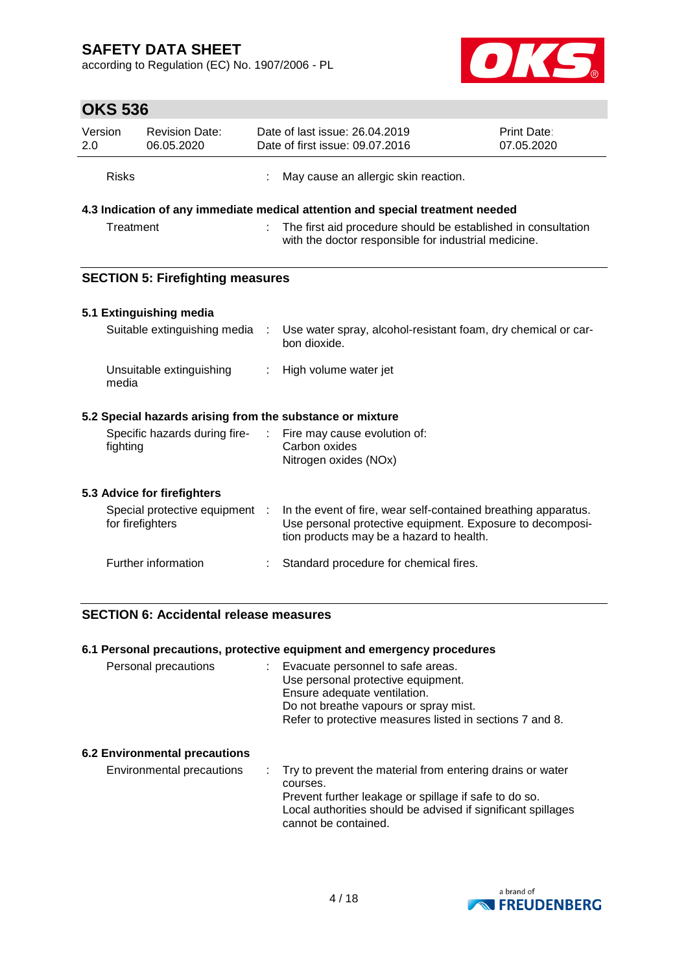according to Regulation (EC) No. 1907/2006 - PL



# **OKS 536**

| Version<br>2.0 | <b>Revision Date:</b><br>06.05.2020 | Date of last issue: 26.04.2019<br><b>Print Date:</b><br>Date of first issue: 09.07.2016<br>07.05.2020 |                                                                                                                       |  |
|----------------|-------------------------------------|-------------------------------------------------------------------------------------------------------|-----------------------------------------------------------------------------------------------------------------------|--|
| <b>Risks</b>   |                                     |                                                                                                       | May cause an allergic skin reaction.                                                                                  |  |
|                |                                     |                                                                                                       | 4.3 Indication of any immediate medical attention and special treatment needed                                        |  |
| Treatment      |                                     |                                                                                                       | The first aid procedure should be established in consultation<br>with the doctor responsible for industrial medicine. |  |
|                |                                     |                                                                                                       |                                                                                                                       |  |

## **SECTION 5: Firefighting measures**

## **5.1 Extinguishing media**

| Suitable extinguishing media :    | Use water spray, alcohol-resistant foam, dry chemical or car-<br>bon dioxide. |
|-----------------------------------|-------------------------------------------------------------------------------|
| Unsuitable extinguishing<br>media | : High volume water jet                                                       |

## **5.2 Special hazards arising from the substance or mixture**

| Fire may cause evolution of: |
|------------------------------|
| Carbon oxides                |
| Nitrogen oxides (NOx)        |
|                              |

## **5.3 Advice for firefighters**

| Special protective equipment :<br>for firefighters | In the event of fire, wear self-contained breathing apparatus.<br>Use personal protective equipment. Exposure to decomposi-<br>tion products may be a hazard to health. |
|----------------------------------------------------|-------------------------------------------------------------------------------------------------------------------------------------------------------------------------|
| Further information                                | Standard procedure for chemical fires.                                                                                                                                  |

## **SECTION 6: Accidental release measures**

|                                      | 6.1 Personal precautions, protective equipment and emergency procedures                                                                                                                                      |
|--------------------------------------|--------------------------------------------------------------------------------------------------------------------------------------------------------------------------------------------------------------|
| Personal precautions                 | Evacuate personnel to safe areas.<br>Use personal protective equipment.<br>Ensure adequate ventilation.<br>Do not breathe vapours or spray mist.<br>Refer to protective measures listed in sections 7 and 8. |
| <b>6.2 Environmental precautions</b> |                                                                                                                                                                                                              |
| Environmental precautions            | Try to prevent the material from entering drains or water<br>courses.<br>Prevent further leakage or spillage if safe to do so.<br>Local authorities should be advised if significant spillages               |



cannot be contained.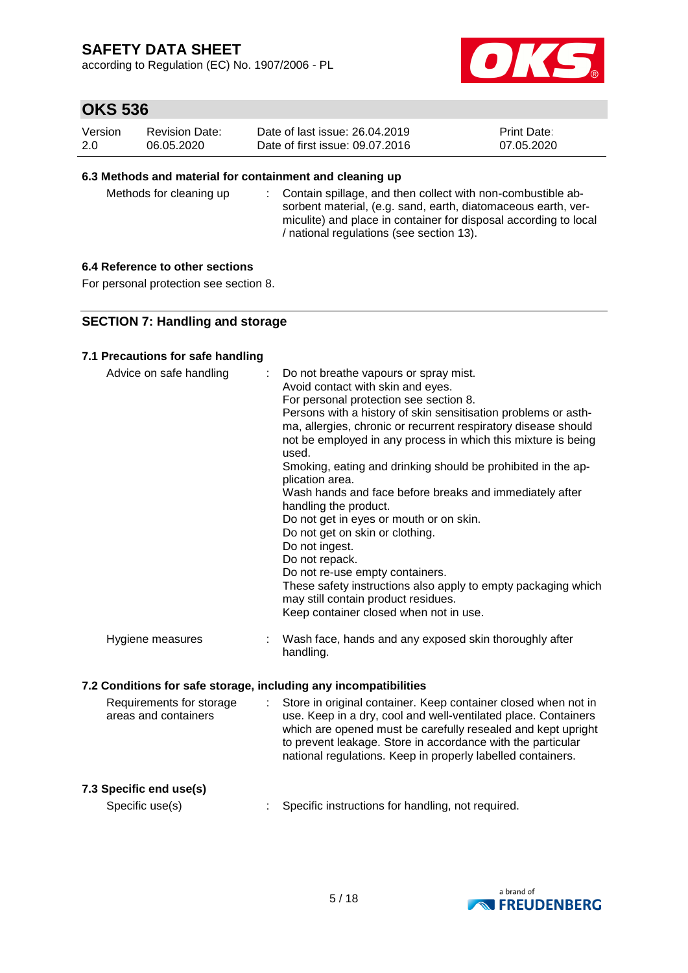according to Regulation (EC) No. 1907/2006 - PL



# **OKS 536**

| Version | <b>Revision Date:</b> | Date of last issue: 26.04.2019  | <b>Print Date:</b> |
|---------|-----------------------|---------------------------------|--------------------|
| 2.0     | 06.05.2020            | Date of first issue: 09.07.2016 | 07.05.2020         |

### **6.3 Methods and material for containment and cleaning up**

Methods for cleaning up : Contain spillage, and then collect with non-combustible absorbent material, (e.g. sand, earth, diatomaceous earth, vermiculite) and place in container for disposal according to local / national regulations (see section 13).

### **6.4 Reference to other sections**

For personal protection see section 8.

### **SECTION 7: Handling and storage**

#### **7.1 Precautions for safe handling**

| Advice on safe handling | : Do not breathe vapours or spray mist.<br>Avoid contact with skin and eyes.<br>For personal protection see section 8.<br>Persons with a history of skin sensitisation problems or asth-<br>ma, allergies, chronic or recurrent respiratory disease should<br>not be employed in any process in which this mixture is being<br>used.<br>Smoking, eating and drinking should be prohibited in the ap-<br>plication area.<br>Wash hands and face before breaks and immediately after<br>handling the product.<br>Do not get in eyes or mouth or on skin.<br>Do not get on skin or clothing.<br>Do not ingest.<br>Do not repack.<br>Do not re-use empty containers.<br>These safety instructions also apply to empty packaging which<br>may still contain product residues.<br>Keep container closed when not in use. |
|-------------------------|--------------------------------------------------------------------------------------------------------------------------------------------------------------------------------------------------------------------------------------------------------------------------------------------------------------------------------------------------------------------------------------------------------------------------------------------------------------------------------------------------------------------------------------------------------------------------------------------------------------------------------------------------------------------------------------------------------------------------------------------------------------------------------------------------------------------|
| Hygiene measures        | Wash face, hands and any exposed skin thoroughly after<br>handling.                                                                                                                                                                                                                                                                                                                                                                                                                                                                                                                                                                                                                                                                                                                                                |

### **7.2 Conditions for safe storage, including any incompatibilities**

| Requirements for storage<br>areas and containers |  | : Store in original container. Keep container closed when not in<br>use. Keep in a dry, cool and well-ventilated place. Containers<br>which are opened must be carefully resealed and kept upright<br>to prevent leakage. Store in accordance with the particular<br>national regulations. Keep in properly labelled containers. |
|--------------------------------------------------|--|----------------------------------------------------------------------------------------------------------------------------------------------------------------------------------------------------------------------------------------------------------------------------------------------------------------------------------|
|--------------------------------------------------|--|----------------------------------------------------------------------------------------------------------------------------------------------------------------------------------------------------------------------------------------------------------------------------------------------------------------------------------|

## **7.3 Specific end use(s)**

Specific use(s) : Specific instructions for handling, not required.

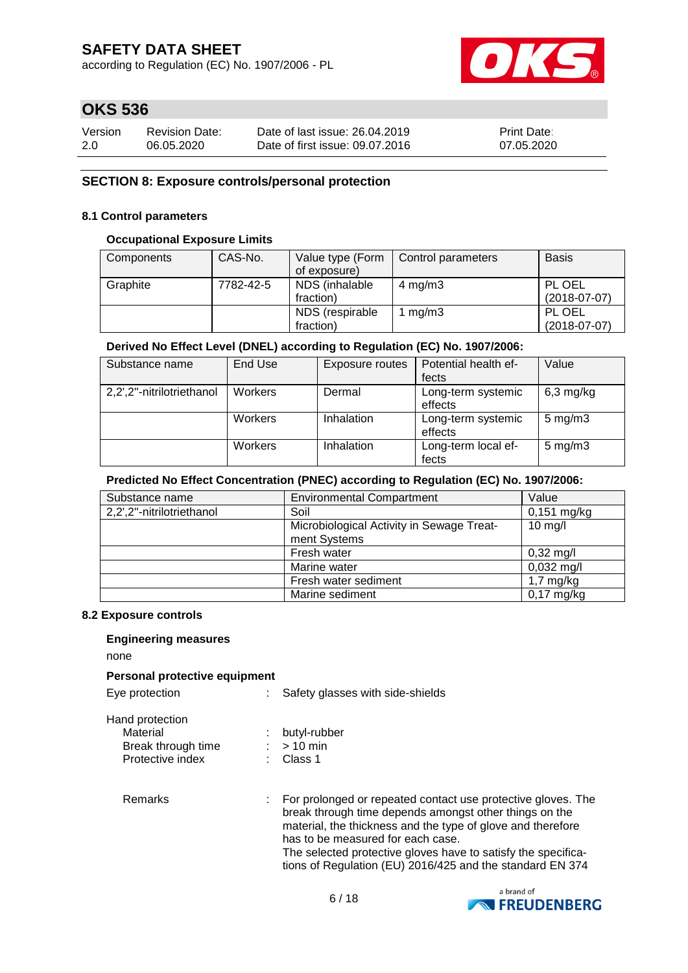according to Regulation (EC) No. 1907/2006 - PL



# **OKS 536**

| Version | <b>Revision Date:</b> | Date of last issue: 26.04.2019  | <b>Print Date:</b> |
|---------|-----------------------|---------------------------------|--------------------|
| 2.0     | 06.05.2020            | Date of first issue: 09.07.2016 | 07.05.2020         |

### **SECTION 8: Exposure controls/personal protection**

### **8.1 Control parameters**

#### **Occupational Exposure Limits**

| Components | CAS-No.   | Value type (Form | Control parameters | <b>Basis</b>   |
|------------|-----------|------------------|--------------------|----------------|
|            |           | of exposure)     |                    |                |
| Graphite   | 7782-42-5 | NDS (inhalable   | $4 \text{ mg/m}$ 3 | PL OEL         |
|            |           | fraction)        |                    | $(2018-07-07)$ |
|            |           | NDS (respirable  | 1 $mg/m3$          | PL OEL         |
|            |           | fraction)        |                    | $(2018-07-07)$ |

### **Derived No Effect Level (DNEL) according to Regulation (EC) No. 1907/2006:**

| Substance name            | End Use        | Exposure routes | Potential health ef- | Value              |
|---------------------------|----------------|-----------------|----------------------|--------------------|
|                           |                |                 | fects                |                    |
| 2,2',2"-nitrilotriethanol | <b>Workers</b> | Dermal          | Long-term systemic   | $6,3$ mg/kg        |
|                           |                |                 | effects              |                    |
|                           | Workers        | Inhalation      | Long-term systemic   | $5 \text{ mg/m}$ 3 |
|                           |                |                 | effects              |                    |
|                           | Workers        | Inhalation      | Long-term local ef-  | $5 \text{ mg/m}$ 3 |
|                           |                |                 | fects                |                    |

#### **Predicted No Effect Concentration (PNEC) according to Regulation (EC) No. 1907/2006:**

| Substance name            | <b>Environmental Compartment</b>          | Value                |
|---------------------------|-------------------------------------------|----------------------|
| 2,2',2"-nitrilotriethanol | Soil                                      | $0,151$ mg/kg        |
|                           | Microbiological Activity in Sewage Treat- | $10 \text{ mg/l}$    |
|                           | ment Systems                              |                      |
|                           | Fresh water                               | $0,32 \text{ mg/l}$  |
|                           | Marine water                              | $0,032 \text{ mg/l}$ |
|                           | Fresh water sediment                      | $1,7 \text{ mg/kg}$  |
|                           | Marine sediment                           | 0,17 mg/kg           |

#### **8.2 Exposure controls**

#### **Engineering measures**

none

#### **Personal protective equipment**

Eye protection : Safety glasses with side-shields

| Hand protection |
|-----------------|
|                 |

Material : butyl-rubber

| Break through time | $>10$ min            |
|--------------------|----------------------|
| Protective index   | $\therefore$ Class 1 |

Remarks : For prolonged or repeated contact use protective gloves. The break through time depends amongst other things on the material, the thickness and the type of glove and therefore has to be measured for each case. The selected protective gloves have to satisfy the specifications of Regulation (EU) 2016/425 and the standard EN 374

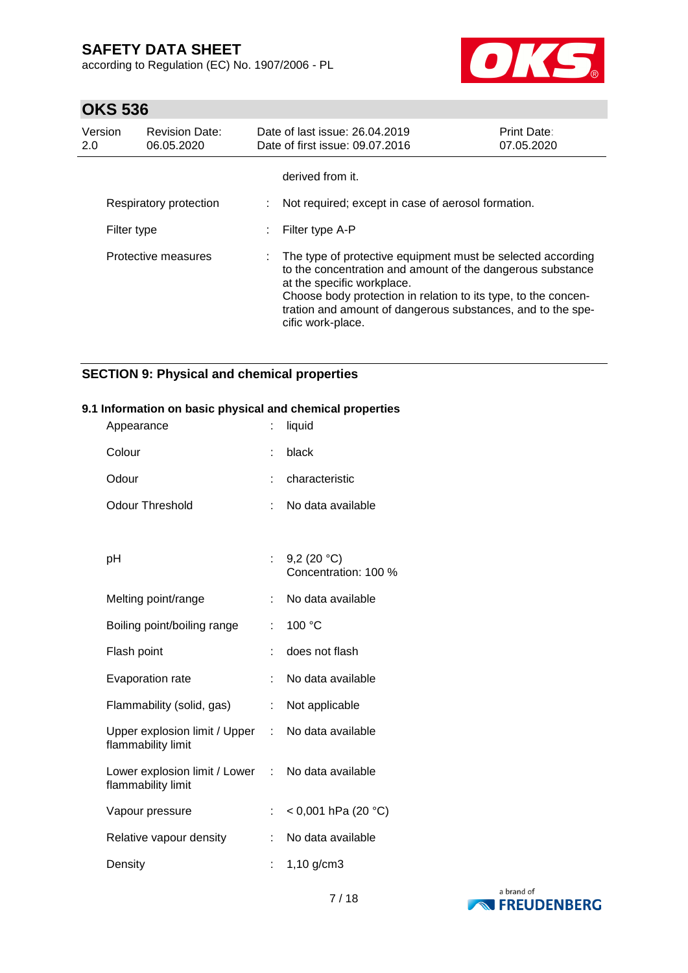according to Regulation (EC) No. 1907/2006 - PL



# **OKS 536**

| Version<br>2.0 | <b>Revision Date:</b><br>06.05.2020 | Date of last issue: 26,04,2019<br>Date of first issue: 09.07.2016                                                                                                                                                                                                                                             | Print Date:<br>07.05.2020 |
|----------------|-------------------------------------|---------------------------------------------------------------------------------------------------------------------------------------------------------------------------------------------------------------------------------------------------------------------------------------------------------------|---------------------------|
|                |                                     | derived from it.                                                                                                                                                                                                                                                                                              |                           |
|                | Respiratory protection              | Not required; except in case of aerosol formation.                                                                                                                                                                                                                                                            |                           |
| Filter type    |                                     | Filter type A-P                                                                                                                                                                                                                                                                                               |                           |
|                | Protective measures                 | The type of protective equipment must be selected according<br>to the concentration and amount of the dangerous substance<br>at the specific workplace.<br>Choose body protection in relation to its type, to the concen-<br>tration and amount of dangerous substances, and to the spe-<br>cific work-place. |                           |

## **SECTION 9: Physical and chemical properties**

### **9.1 Information on basic physical and chemical properties**

| Appearance                                            |    | liquid                                |
|-------------------------------------------------------|----|---------------------------------------|
| Colour                                                |    | black                                 |
| Odour                                                 |    | characteristic                        |
| <b>Odour Threshold</b>                                | t  | No data available                     |
|                                                       |    |                                       |
| рH                                                    |    | 9,2 $(20 °C)$<br>Concentration: 100 % |
| Melting point/range                                   |    | No data available                     |
| Boiling point/boiling range                           | t  | 100 °C                                |
| Flash point                                           | ÷  | does not flash                        |
| Evaporation rate                                      | t  | No data available                     |
| Flammability (solid, gas)                             | ÷  | Not applicable                        |
| Upper explosion limit / Upper<br>flammability limit   | t. | No data available                     |
| Lower explosion limit / Lower :<br>flammability limit |    | No data available                     |
| Vapour pressure                                       |    | < 0,001 hPa (20 °C)                   |
| Relative vapour density                               |    | No data available                     |
| Density                                               | t. | $1,10$ g/cm3                          |

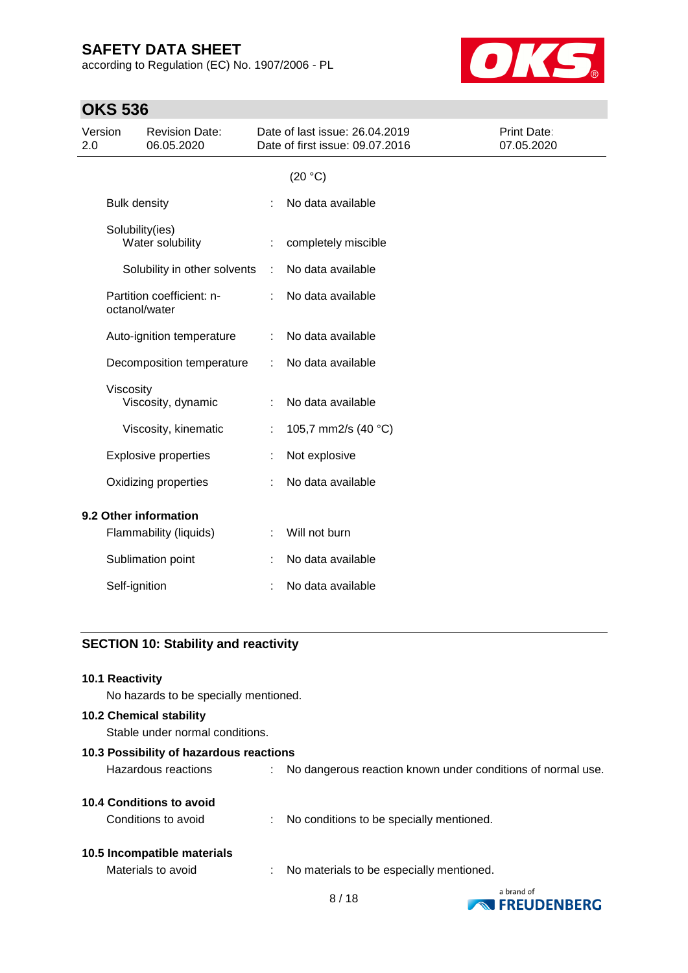according to Regulation (EC) No. 1907/2006 - PL



# **OKS 536**

| Version<br>2.0                             | <b>Revision Date:</b><br>06.05.2020 |   | Date of last issue: 26.04.2019<br>Date of first issue: 09.07.2016 | Print Date:<br>07.05.2020 |
|--------------------------------------------|-------------------------------------|---|-------------------------------------------------------------------|---------------------------|
|                                            |                                     |   | (20 °C)                                                           |                           |
| <b>Bulk density</b>                        |                                     |   | No data available                                                 |                           |
| Solubility(ies)<br>Water solubility        |                                     |   | completely miscible                                               |                           |
|                                            | Solubility in other solvents        | ÷ | No data available                                                 |                           |
| Partition coefficient: n-<br>octanol/water |                                     |   | No data available                                                 |                           |
|                                            | Auto-ignition temperature           | ÷ | No data available                                                 |                           |
|                                            | Decomposition temperature           |   | No data available                                                 |                           |
| Viscosity<br>Viscosity, dynamic            |                                     |   | No data available                                                 |                           |
|                                            | Viscosity, kinematic                |   | 105,7 mm2/s (40 °C)                                               |                           |
| <b>Explosive properties</b>                |                                     |   | Not explosive                                                     |                           |
| Oxidizing properties                       |                                     |   | No data available                                                 |                           |
| 9.2 Other information                      |                                     |   |                                                                   |                           |
| Flammability (liquids)                     |                                     |   | Will not burn                                                     |                           |
| Sublimation point                          |                                     |   | No data available                                                 |                           |
| Self-ignition                              |                                     |   | No data available                                                 |                           |

## **SECTION 10: Stability and reactivity**

| <b>10.1 Reactivity</b><br>No hazards to be specially mentioned.   |                                                               |
|-------------------------------------------------------------------|---------------------------------------------------------------|
| <b>10.2 Chemical stability</b><br>Stable under normal conditions. |                                                               |
| 10.3 Possibility of hazardous reactions                           |                                                               |
| Hazardous reactions                                               | : No dangerous reaction known under conditions of normal use. |
| 10.4 Conditions to avoid                                          |                                                               |
| Conditions to avoid                                               | : No conditions to be specially mentioned.                    |
| 10.5 Incompatible materials                                       |                                                               |
| Materials to avoid                                                | No materials to be especially mentioned.                      |

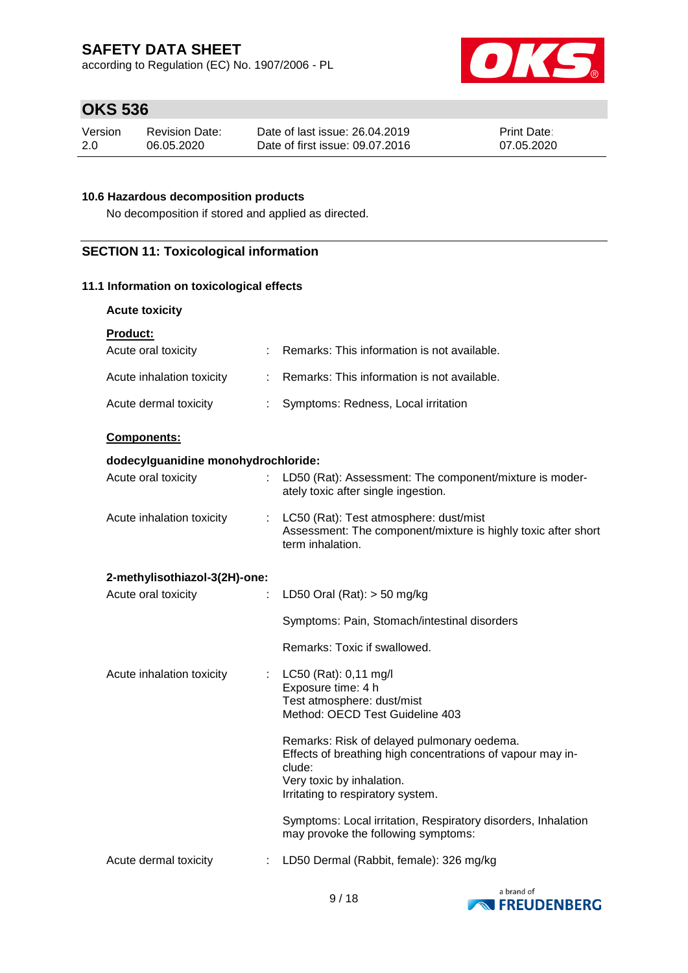according to Regulation (EC) No. 1907/2006 - PL



# **OKS 536**

| Version | Revision Date: | Date of last issue: 26.04.2019  | <b>Print Date:</b> |
|---------|----------------|---------------------------------|--------------------|
| -2.0    | 06.05.2020     | Date of first issue: 09.07.2016 | 07.05.2020         |

## **10.6 Hazardous decomposition products**

No decomposition if stored and applied as directed.

## **SECTION 11: Toxicological information**

### **11.1 Information on toxicological effects**

| Product |  |
|---------|--|
|         |  |

| Acute oral toxicity                 |   | Remarks: This information is not available.                                                                                   |
|-------------------------------------|---|-------------------------------------------------------------------------------------------------------------------------------|
| Acute inhalation toxicity           |   | Remarks: This information is not available.                                                                                   |
| Acute dermal toxicity<br>÷          |   | Symptoms: Redness, Local irritation                                                                                           |
| <b>Components:</b>                  |   |                                                                                                                               |
| dodecylguanidine monohydrochloride: |   |                                                                                                                               |
| Acute oral toxicity                 |   | LD50 (Rat): Assessment: The component/mixture is moder-<br>ately toxic after single ingestion.                                |
| Acute inhalation toxicity           |   | : LC50 (Rat): Test atmosphere: dust/mist<br>Assessment: The component/mixture is highly toxic after short<br>term inhalation. |
| 2-methylisothiazol-3(2H)-one:       |   |                                                                                                                               |
| Acute oral toxicity                 |   | LD50 Oral (Rat): $>$ 50 mg/kg                                                                                                 |
|                                     |   | Symptoms: Pain, Stomach/intestinal disorders                                                                                  |
|                                     |   | Remarks: Toxic if swallowed.                                                                                                  |
| Acute inhalation toxicity           | ÷ | LC50 (Rat): 0,11 mg/l                                                                                                         |
|                                     |   | Exposure time: 4 h                                                                                                            |
|                                     |   | Test atmosphere: dust/mist<br>Method: OECD Test Guideline 403                                                                 |
|                                     |   | Remarks: Risk of delayed pulmonary oedema.<br>Effects of breathing high concentrations of vapour may in-<br>clude:            |
|                                     |   | Very toxic by inhalation.<br>Irritating to respiratory system.                                                                |
|                                     |   | Symptoms: Local irritation, Respiratory disorders, Inhalation<br>may provoke the following symptoms:                          |
| Acute dermal toxicity               | ÷ | LD50 Dermal (Rabbit, female): 326 mg/kg                                                                                       |
|                                     |   |                                                                                                                               |

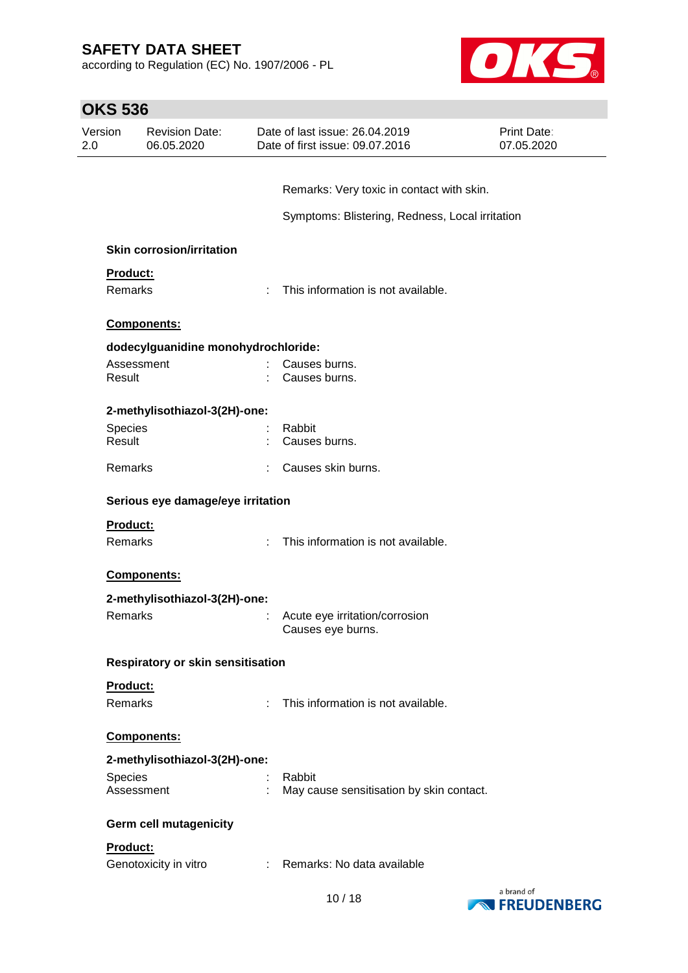according to Regulation (EC) No. 1907/2006 - PL



L,

| <b>OKS 536</b> |                                     |    |                                                                   |                           |  |  |
|----------------|-------------------------------------|----|-------------------------------------------------------------------|---------------------------|--|--|
| Version<br>2.0 | <b>Revision Date:</b><br>06.05.2020 |    | Date of last issue: 26.04.2019<br>Date of first issue: 09.07.2016 | Print Date:<br>07.05.2020 |  |  |
|                |                                     |    |                                                                   |                           |  |  |
|                |                                     |    | Remarks: Very toxic in contact with skin.                         |                           |  |  |
|                |                                     |    | Symptoms: Blistering, Redness, Local irritation                   |                           |  |  |
|                | <b>Skin corrosion/irritation</b>    |    |                                                                   |                           |  |  |
| Product:       |                                     |    |                                                                   |                           |  |  |
| Remarks        |                                     | ÷  | This information is not available.                                |                           |  |  |
|                | Components:                         |    |                                                                   |                           |  |  |
|                | dodecylguanidine monohydrochloride: |    |                                                                   |                           |  |  |
| Assessment     |                                     |    | Causes burns.                                                     |                           |  |  |
| Result         |                                     |    | Causes burns.                                                     |                           |  |  |
|                | 2-methylisothiazol-3(2H)-one:       |    |                                                                   |                           |  |  |
| Species        |                                     |    | Rabbit                                                            |                           |  |  |
| Result         |                                     |    | Causes burns.                                                     |                           |  |  |
| Remarks        |                                     | ÷. | Causes skin burns.                                                |                           |  |  |
|                | Serious eye damage/eye irritation   |    |                                                                   |                           |  |  |
| Product:       |                                     |    |                                                                   |                           |  |  |
| Remarks        |                                     |    | This information is not available.                                |                           |  |  |
|                | <b>Components:</b>                  |    |                                                                   |                           |  |  |
|                | 2-methylisothiazol-3(2H)-one:       |    |                                                                   |                           |  |  |
|                | <b>Remarks Example 2016</b>         |    | : Acute eye irritation/corrosion<br>Causes eye burns.             |                           |  |  |
|                | Respiratory or skin sensitisation   |    |                                                                   |                           |  |  |
| Product:       |                                     |    |                                                                   |                           |  |  |
| Remarks        |                                     | ÷. | This information is not available.                                |                           |  |  |
|                | Components:                         |    |                                                                   |                           |  |  |
|                | 2-methylisothiazol-3(2H)-one:       |    |                                                                   |                           |  |  |
| Species        |                                     |    | Rabbit                                                            |                           |  |  |
| Assessment     |                                     |    | May cause sensitisation by skin contact.                          |                           |  |  |
|                | Germ cell mutagenicity              |    |                                                                   |                           |  |  |
| Product:       |                                     |    |                                                                   |                           |  |  |
|                | Genotoxicity in vitro               |    | : Remarks: No data available                                      |                           |  |  |

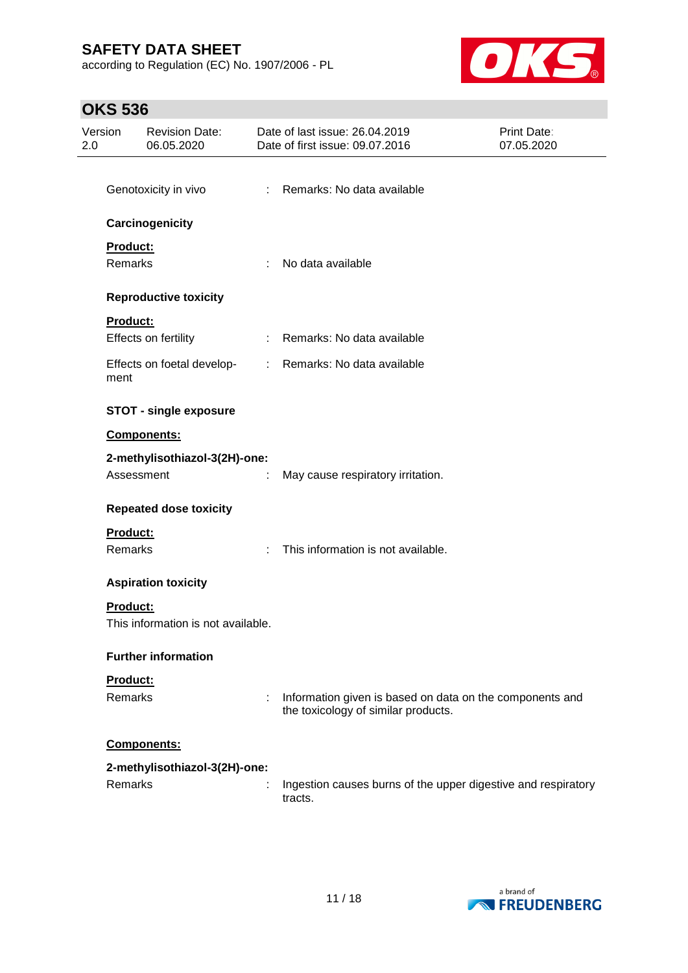according to Regulation (EC) No. 1907/2006 - PL



# **OKS 536**

| Version<br>2.0 |                            | <b>Revision Date:</b><br>06.05.2020 |                            | Date of last issue: 26.04.2019<br>Date of first issue: 09.07.2016                               | Print Date:<br>07.05.2020 |
|----------------|----------------------------|-------------------------------------|----------------------------|-------------------------------------------------------------------------------------------------|---------------------------|
|                |                            | Genotoxicity in vivo                |                            | : Remarks: No data available                                                                    |                           |
|                |                            | Carcinogenicity                     |                            |                                                                                                 |                           |
|                | Product:<br><b>Remarks</b> |                                     | ÷                          | No data available                                                                               |                           |
|                |                            | <b>Reproductive toxicity</b>        |                            |                                                                                                 |                           |
|                | Product:                   | Effects on fertility                | $\mathcal{L}^{\text{max}}$ | Remarks: No data available                                                                      |                           |
|                | ment                       | Effects on foetal develop-          |                            | : Remarks: No data available                                                                    |                           |
|                |                            | <b>STOT - single exposure</b>       |                            |                                                                                                 |                           |
|                |                            | Components:                         |                            |                                                                                                 |                           |
|                |                            | 2-methylisothiazol-3(2H)-one:       |                            |                                                                                                 |                           |
|                | Assessment                 |                                     | ÷                          | May cause respiratory irritation.                                                               |                           |
|                |                            | <b>Repeated dose toxicity</b>       |                            |                                                                                                 |                           |
|                | Product:                   |                                     |                            |                                                                                                 |                           |
|                | Remarks                    |                                     | ÷                          | This information is not available.                                                              |                           |
|                |                            | <b>Aspiration toxicity</b>          |                            |                                                                                                 |                           |
|                | <b>Product:</b>            | This information is not available.  |                            |                                                                                                 |                           |
|                |                            | <b>Further information</b>          |                            |                                                                                                 |                           |
|                | Product:<br>Remarks        |                                     | ÷                          | Information given is based on data on the components and<br>the toxicology of similar products. |                           |
|                |                            | Components:                         |                            |                                                                                                 |                           |
|                | Remarks                    | 2-methylisothiazol-3(2H)-one:       |                            | Ingestion causes burns of the upper digestive and respiratory<br>tracts.                        |                           |

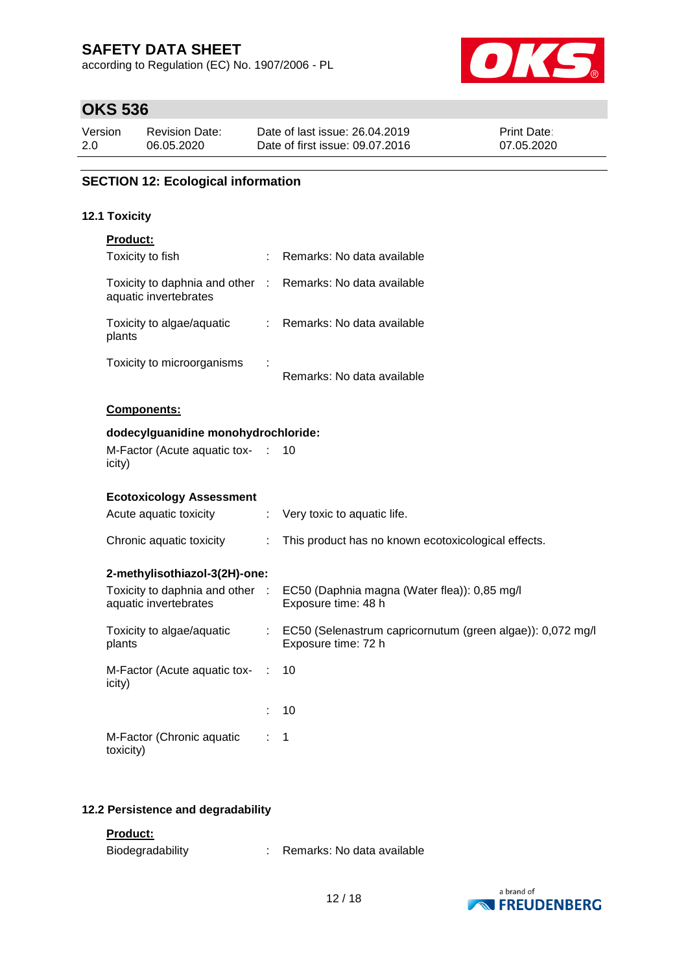according to Regulation (EC) No. 1907/2006 - PL



# **OKS 536**

| Version | <b>Revision Date:</b> | Date of last issue: 26.04.2019  | <b>Print Date:</b> |
|---------|-----------------------|---------------------------------|--------------------|
| 2.0     | 06.05.2020            | Date of first issue: 09.07.2016 | 07.05.2020         |

## **SECTION 12: Ecological information**

### **12.1 Toxicity**

| <b>Product:</b>                                                                     |                                                                                                                                                                                                                                                                                                                                                                                                                               |                                                                                   |
|-------------------------------------------------------------------------------------|-------------------------------------------------------------------------------------------------------------------------------------------------------------------------------------------------------------------------------------------------------------------------------------------------------------------------------------------------------------------------------------------------------------------------------|-----------------------------------------------------------------------------------|
| Toxicity to fish                                                                    | ÷                                                                                                                                                                                                                                                                                                                                                                                                                             | Remarks: No data available                                                        |
| Toxicity to daphnia and other : Remarks: No data available<br>aquatic invertebrates |                                                                                                                                                                                                                                                                                                                                                                                                                               |                                                                                   |
| Toxicity to algae/aquatic<br>plants                                                 | $\mathcal{I}^{\mathcal{I}^{\mathcal{I}^{\mathcal{I}^{\mathcal{I}^{\mathcal{I}^{\mathcal{I}^{\mathcal{I}^{\mathcal{I}^{\mathcal{I}^{\mathcal{I}^{\mathcal{I}^{\mathcal{I}^{\mathcal{I}^{\mathcal{I}^{\mathcal{I}^{\mathcal{I}^{\mathcal{I}^{\mathcal{I}^{\mathcal{I}^{\mathcal{I}^{\mathcal{I}^{\mathcal{I}^{\mathcal{I}^{\mathcal{I}^{\mathcal{I}^{\mathcal{I}^{\mathcal{I}^{\mathcal{I}^{\mathcal{I}^{\mathcal{I}^{\mathcal$ | Remarks: No data available                                                        |
| Toxicity to microorganisms                                                          |                                                                                                                                                                                                                                                                                                                                                                                                                               | Remarks: No data available                                                        |
| Components:                                                                         |                                                                                                                                                                                                                                                                                                                                                                                                                               |                                                                                   |
| dodecylguanidine monohydrochloride:                                                 |                                                                                                                                                                                                                                                                                                                                                                                                                               |                                                                                   |
| M-Factor (Acute aquatic tox-<br>icity)                                              | $\sim$ 1.                                                                                                                                                                                                                                                                                                                                                                                                                     | 10                                                                                |
| <b>Ecotoxicology Assessment</b>                                                     |                                                                                                                                                                                                                                                                                                                                                                                                                               |                                                                                   |
| Acute aquatic toxicity                                                              | ÷.                                                                                                                                                                                                                                                                                                                                                                                                                            | Very toxic to aquatic life.                                                       |
| Chronic aquatic toxicity                                                            | ÷                                                                                                                                                                                                                                                                                                                                                                                                                             | This product has no known ecotoxicological effects.                               |
| 2-methylisothiazol-3(2H)-one:                                                       |                                                                                                                                                                                                                                                                                                                                                                                                                               |                                                                                   |
| Toxicity to daphnia and other :<br>aquatic invertebrates                            |                                                                                                                                                                                                                                                                                                                                                                                                                               | EC50 (Daphnia magna (Water flea)): 0,85 mg/l<br>Exposure time: 48 h               |
| Toxicity to algae/aquatic<br>plants                                                 | $\mathbb{Z}^{\times}$                                                                                                                                                                                                                                                                                                                                                                                                         | EC50 (Selenastrum capricornutum (green algae)): 0,072 mg/l<br>Exposure time: 72 h |
| M-Factor (Acute aquatic tox-<br>icity)                                              | ÷                                                                                                                                                                                                                                                                                                                                                                                                                             | 10                                                                                |
|                                                                                     |                                                                                                                                                                                                                                                                                                                                                                                                                               | 10                                                                                |
| M-Factor (Chronic aquatic<br>toxicity)                                              |                                                                                                                                                                                                                                                                                                                                                                                                                               | 1                                                                                 |

### **12.2 Persistence and degradability**

### **Product:**

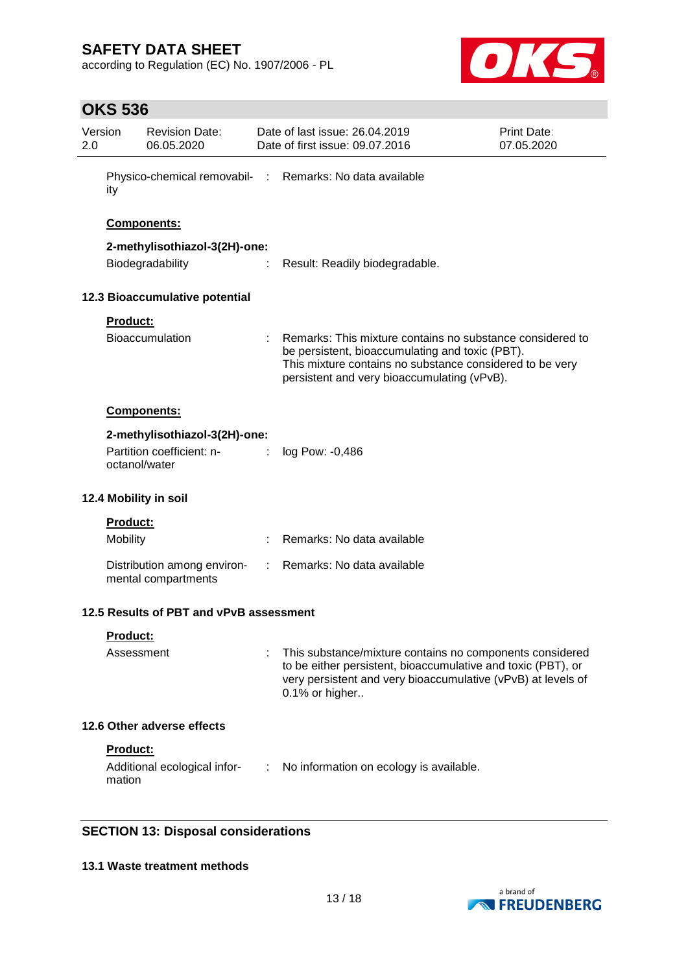according to Regulation (EC) No. 1907/2006 - PL



# **OKS 536**

| Version<br>2.0  | <b>Revision Date:</b><br>06.05.2020                                             |                             | Date of last issue: 26.04.2019<br>Date of first issue: 09.07.2016                                                                                                                                                       | Print Date:<br>07.05.2020 |  |
|-----------------|---------------------------------------------------------------------------------|-----------------------------|-------------------------------------------------------------------------------------------------------------------------------------------------------------------------------------------------------------------------|---------------------------|--|
| ity             |                                                                                 |                             | Physico-chemical removabil- : Remarks: No data available                                                                                                                                                                |                           |  |
|                 | <b>Components:</b>                                                              |                             |                                                                                                                                                                                                                         |                           |  |
|                 | 2-methylisothiazol-3(2H)-one:<br>Biodegradability                               |                             | Result: Readily biodegradable.                                                                                                                                                                                          |                           |  |
|                 | 12.3 Bioaccumulative potential                                                  |                             |                                                                                                                                                                                                                         |                           |  |
|                 | Product:<br><b>Bioaccumulation</b>                                              |                             | Remarks: This mixture contains no substance considered to<br>be persistent, bioaccumulating and toxic (PBT).<br>This mixture contains no substance considered to be very<br>persistent and very bioaccumulating (vPvB). |                           |  |
|                 | Components:                                                                     |                             |                                                                                                                                                                                                                         |                           |  |
|                 | 2-methylisothiazol-3(2H)-one:<br>Partition coefficient: n-<br><b>Contractor</b> |                             | log Pow: -0,486                                                                                                                                                                                                         |                           |  |
|                 | octanol/water                                                                   |                             |                                                                                                                                                                                                                         |                           |  |
|                 | 12.4 Mobility in soil                                                           |                             |                                                                                                                                                                                                                         |                           |  |
|                 | Product:                                                                        |                             |                                                                                                                                                                                                                         |                           |  |
| <b>Mobility</b> |                                                                                 | ÷                           | Remarks: No data available                                                                                                                                                                                              |                           |  |
|                 | Distribution among environ-<br>mental compartments                              | $\mathcal{L}^{\mathcal{L}}$ | Remarks: No data available                                                                                                                                                                                              |                           |  |
|                 | 12.5 Results of PBT and vPvB assessment                                         |                             |                                                                                                                                                                                                                         |                           |  |
|                 | <u>Product:</u>                                                                 |                             |                                                                                                                                                                                                                         |                           |  |
|                 | Assessment                                                                      |                             | This substance/mixture contains no components considered<br>to be either persistent, bioaccumulative and toxic (PBT), or<br>very persistent and very bioaccumulative (vPvB) at levels of<br>0.1% or higher              |                           |  |
|                 | 12.6 Other adverse effects                                                      |                             |                                                                                                                                                                                                                         |                           |  |
|                 | Product:                                                                        |                             |                                                                                                                                                                                                                         |                           |  |
| mation          | Additional ecological infor-                                                    | ÷                           | No information on ecology is available.                                                                                                                                                                                 |                           |  |
|                 | SECTION 12: Dienosal considerations                                             |                             |                                                                                                                                                                                                                         |                           |  |

## **SECTION 13: Disposal considerations**

### **13.1 Waste treatment methods**

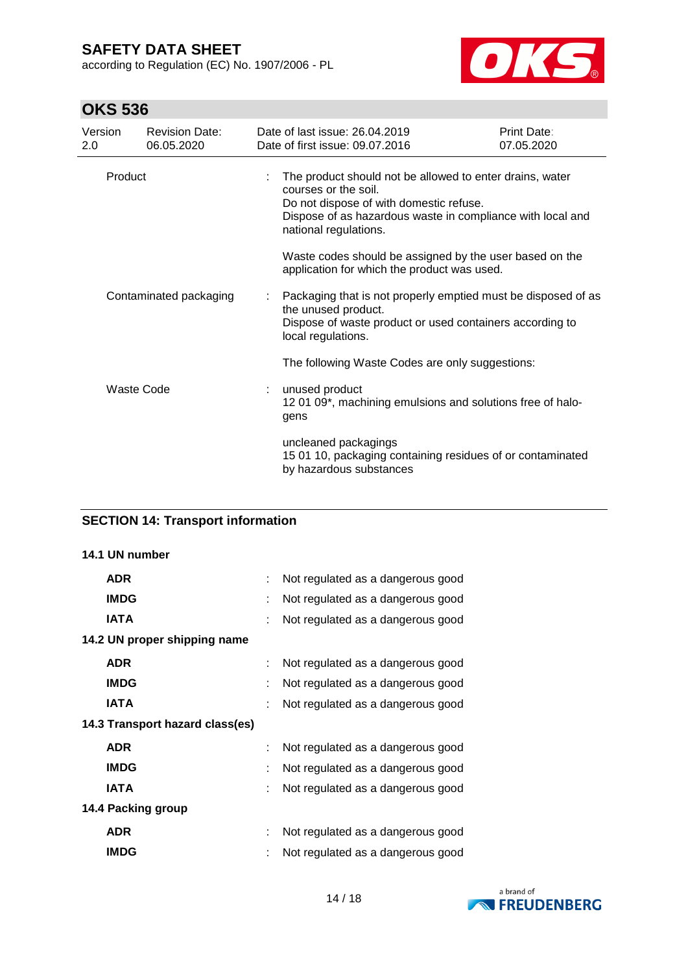according to Regulation (EC) No. 1907/2006 - PL



# **OKS 536**

| Version<br>2.0 |            | <b>Revision Date:</b><br>06.05.2020 |                                                                                                                                                                                                                    | Date of last issue: 26.04.2019<br>Date of first issue: 09.07.2016                                                                                                      | Print Date:<br>07.05.2020 |  |
|----------------|------------|-------------------------------------|--------------------------------------------------------------------------------------------------------------------------------------------------------------------------------------------------------------------|------------------------------------------------------------------------------------------------------------------------------------------------------------------------|---------------------------|--|
|                | Product    |                                     | The product should not be allowed to enter drains, water<br>courses or the soil.<br>Do not dispose of with domestic refuse.<br>Dispose of as hazardous waste in compliance with local and<br>national regulations. |                                                                                                                                                                        |                           |  |
|                |            |                                     |                                                                                                                                                                                                                    | Waste codes should be assigned by the user based on the<br>application for which the product was used.                                                                 |                           |  |
|                |            | Contaminated packaging              |                                                                                                                                                                                                                    | Packaging that is not properly emptied must be disposed of as<br>the unused product.<br>Dispose of waste product or used containers according to<br>local regulations. |                           |  |
|                |            |                                     |                                                                                                                                                                                                                    | The following Waste Codes are only suggestions:                                                                                                                        |                           |  |
|                | Waste Code |                                     |                                                                                                                                                                                                                    | : unused product<br>12 01 09*, machining emulsions and solutions free of halo-<br>gens                                                                                 |                           |  |
|                |            |                                     |                                                                                                                                                                                                                    | uncleaned packagings<br>15 01 10, packaging containing residues of or contaminated<br>by hazardous substances                                                          |                           |  |

## **SECTION 14: Transport information**

#### **14.1 UN number**

| <b>ADR</b>                      |   | Not regulated as a dangerous good |
|---------------------------------|---|-----------------------------------|
| <b>IMDG</b>                     | t | Not regulated as a dangerous good |
| IATA                            |   | Not regulated as a dangerous good |
| 14.2 UN proper shipping name    |   |                                   |
| <b>ADR</b>                      |   | Not regulated as a dangerous good |
| <b>IMDG</b>                     | t | Not regulated as a dangerous good |
| <b>IATA</b>                     |   | Not regulated as a dangerous good |
| 14.3 Transport hazard class(es) |   |                                   |
| <b>ADR</b>                      |   | Not regulated as a dangerous good |
| <b>IMDG</b>                     | t | Not regulated as a dangerous good |
| <b>IATA</b>                     |   | Not regulated as a dangerous good |
| 14.4 Packing group              |   |                                   |
| <b>ADR</b>                      | t | Not regulated as a dangerous good |
| <b>IMDG</b>                     |   | Not regulated as a dangerous good |

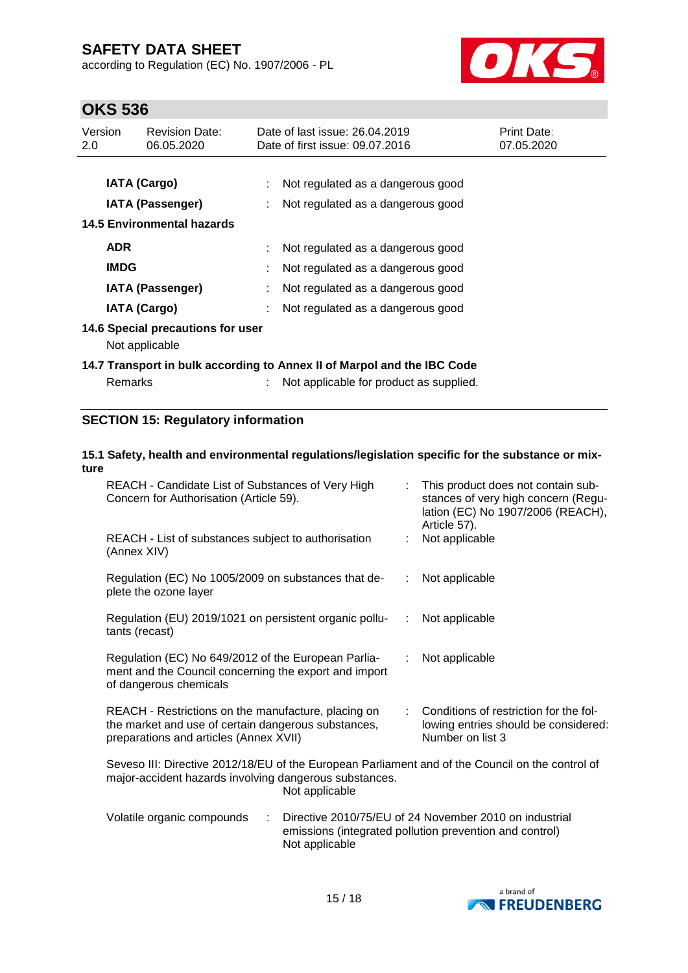according to Regulation (EC) No. 1907/2006 - PL



# **OKS 536**

| Version<br>2.0 | <b>Revision Date:</b><br>06.05.2020 | Date of last issue: 26.04.2019<br><b>Print Date:</b><br>07.05.2020<br>Date of first issue: 09.07.2016 |  |
|----------------|-------------------------------------|-------------------------------------------------------------------------------------------------------|--|
|                |                                     |                                                                                                       |  |
|                | <b>IATA (Cargo)</b>                 | Not regulated as a dangerous good                                                                     |  |
|                | <b>IATA (Passenger)</b>             | Not regulated as a dangerous good                                                                     |  |
|                | <b>14.5 Environmental hazards</b>   |                                                                                                       |  |
|                | <b>ADR</b>                          | Not regulated as a dangerous good                                                                     |  |
|                | <b>IMDG</b>                         | Not regulated as a dangerous good                                                                     |  |
|                | <b>IATA (Passenger)</b>             | Not regulated as a dangerous good                                                                     |  |
|                | <b>IATA (Cargo)</b>                 | Not regulated as a dangerous good                                                                     |  |
|                | 14.6 Special precautions for user   |                                                                                                       |  |
|                | Not applicable                      |                                                                                                       |  |
|                |                                     | 14.7 Transport in bulk according to Annex II of Marpol and the IBC Code                               |  |
|                | Remarks                             | Not applicable for product as supplied.                                                               |  |

## **SECTION 15: Regulatory information**

### **15.1 Safety, health and environmental regulations/legislation specific for the substance or mixture**

| REACH - Candidate List of Substances of Very High<br>Concern for Authorisation (Article 59).                                                                                 |    | This product does not contain sub-<br>stances of very high concern (Regu-<br>lation (EC) No 1907/2006 (REACH),<br>Article 57). |
|------------------------------------------------------------------------------------------------------------------------------------------------------------------------------|----|--------------------------------------------------------------------------------------------------------------------------------|
| REACH - List of substances subject to authorisation<br>(Annex XIV)                                                                                                           |    | Not applicable                                                                                                                 |
| Regulation (EC) No 1005/2009 on substances that de-<br>plete the ozone layer                                                                                                 | ÷. | Not applicable                                                                                                                 |
| Regulation (EU) 2019/1021 on persistent organic pollu-<br>tants (recast)                                                                                                     | ÷. | Not applicable                                                                                                                 |
| Regulation (EC) No 649/2012 of the European Parlia-<br>ment and the Council concerning the export and import<br>of dangerous chemicals                                       | ÷  | Not applicable                                                                                                                 |
| REACH - Restrictions on the manufacture, placing on<br>the market and use of certain dangerous substances,<br>preparations and articles (Annex XVII)                         |    | Conditions of restriction for the fol-<br>lowing entries should be considered:<br>Number on list 3                             |
| Seveso III: Directive 2012/18/EU of the European Parliament and of the Council on the control of<br>major-accident hazards involving dangerous substances.<br>Not applicable |    |                                                                                                                                |
| Volatile organic compounds<br>÷<br>Not applicable                                                                                                                            |    | Directive 2010/75/EU of 24 November 2010 on industrial<br>emissions (integrated pollution prevention and control)              |

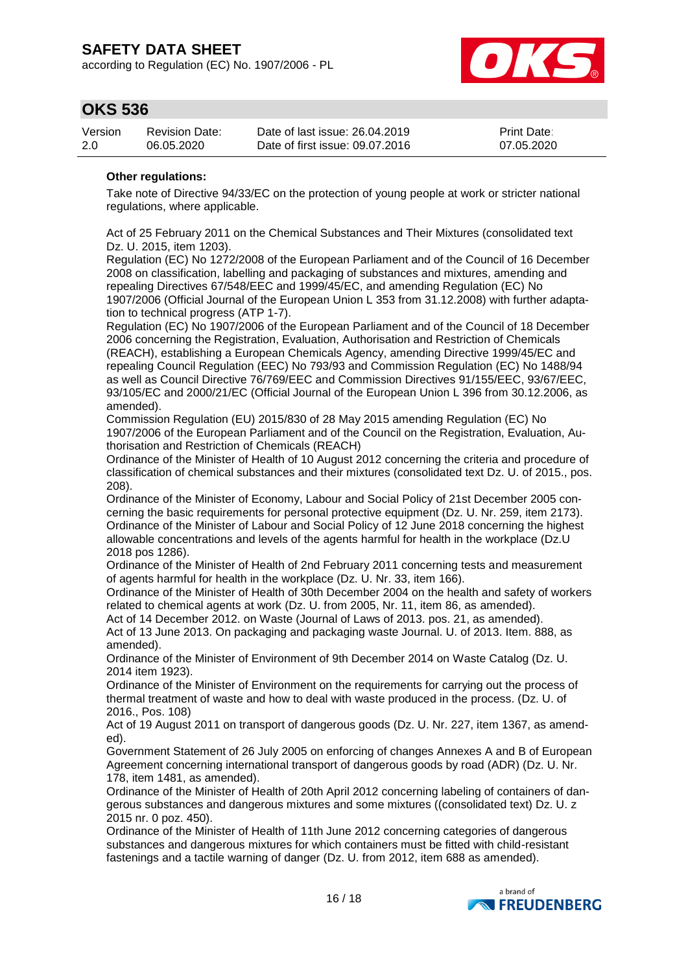according to Regulation (EC) No. 1907/2006 - PL



## **OKS 536**

| Version | Revision Date: | Date of last issue: 26.04.2019  | <b>Print Date:</b> |
|---------|----------------|---------------------------------|--------------------|
| 2.0     | 06.05.2020     | Date of first issue: 09.07.2016 | 07.05.2020         |

### **Other regulations:**

Take note of Directive 94/33/EC on the protection of young people at work or stricter national regulations, where applicable.

Act of 25 February 2011 on the Chemical Substances and Their Mixtures (consolidated text Dz. U. 2015, item 1203).

Regulation (EC) No 1272/2008 of the European Parliament and of the Council of 16 December 2008 on classification, labelling and packaging of substances and mixtures, amending and repealing Directives 67/548/EEC and 1999/45/EC, and amending Regulation (EC) No 1907/2006 (Official Journal of the European Union L 353 from 31.12.2008) with further adaptation to technical progress (ATP 1-7).

Regulation (EC) No 1907/2006 of the European Parliament and of the Council of 18 December 2006 concerning the Registration, Evaluation, Authorisation and Restriction of Chemicals (REACH), establishing a European Chemicals Agency, amending Directive 1999/45/EC and repealing Council Regulation (EEC) No 793/93 and Commission Regulation (EC) No 1488/94 as well as Council Directive 76/769/EEC and Commission Directives 91/155/EEC, 93/67/EEC, 93/105/EC and 2000/21/EC (Official Journal of the European Union L 396 from 30.12.2006, as amended).

Commission Regulation (EU) 2015/830 of 28 May 2015 amending Regulation (EC) No 1907/2006 of the European Parliament and of the Council on the Registration, Evaluation, Authorisation and Restriction of Chemicals (REACH)

Ordinance of the Minister of Health of 10 August 2012 concerning the criteria and procedure of classification of chemical substances and their mixtures (consolidated text Dz. U. of 2015., pos. 208).

Ordinance of the Minister of Economy, Labour and Social Policy of 21st December 2005 concerning the basic requirements for personal protective equipment (Dz. U. Nr. 259, item 2173). Ordinance of the Minister of Labour and Social Policy of 12 June 2018 concerning the highest allowable concentrations and levels of the agents harmful for health in the workplace (Dz.U 2018 pos 1286).

Ordinance of the Minister of Health of 2nd February 2011 concerning tests and measurement of agents harmful for health in the workplace (Dz. U. Nr. 33, item 166).

Ordinance of the Minister of Health of 30th December 2004 on the health and safety of workers related to chemical agents at work (Dz. U. from 2005, Nr. 11, item 86, as amended).

Act of 14 December 2012. on Waste (Journal of Laws of 2013. pos. 21, as amended). Act of 13 June 2013. On packaging and packaging waste Journal. U. of 2013. Item. 888, as amended).

Ordinance of the Minister of Environment of 9th December 2014 on Waste Catalog (Dz. U. 2014 item 1923).

Ordinance of the Minister of Environment on the requirements for carrying out the process of thermal treatment of waste and how to deal with waste produced in the process. (Dz. U. of 2016., Pos. 108)

Act of 19 August 2011 on transport of dangerous goods (Dz. U. Nr. 227, item 1367, as amended).

Government Statement of 26 July 2005 on enforcing of changes Annexes A and B of European Agreement concerning international transport of dangerous goods by road (ADR) (Dz. U. Nr. 178, item 1481, as amended).

Ordinance of the Minister of Health of 20th April 2012 concerning labeling of containers of dangerous substances and dangerous mixtures and some mixtures ((consolidated text) Dz. U. z 2015 nr. 0 poz. 450).

Ordinance of the Minister of Health of 11th June 2012 concerning categories of dangerous substances and dangerous mixtures for which containers must be fitted with child-resistant fastenings and a tactile warning of danger (Dz. U. from 2012, item 688 as amended).

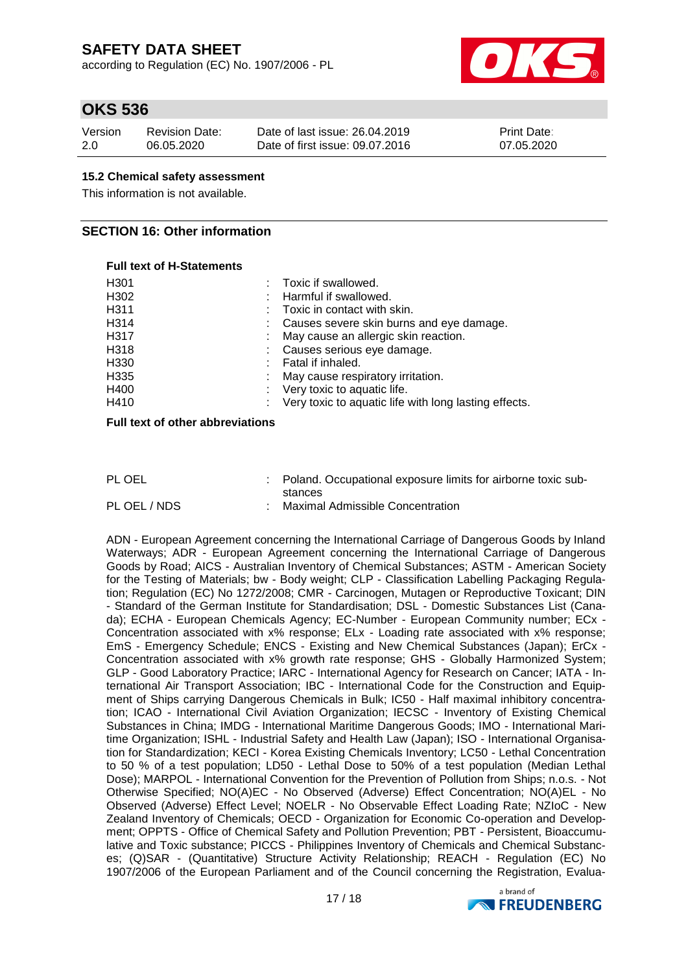according to Regulation (EC) No. 1907/2006 - PL



## **OKS 536**

| Version | <b>Revision Date:</b> | Date of last issue: 26.04.2019  | <b>Print Date:</b> |
|---------|-----------------------|---------------------------------|--------------------|
| 2.0     | 06.05.2020            | Date of first issue: 09.07.2016 | 07.05.2020         |

### **15.2 Chemical safety assessment**

This information is not available.

### **SECTION 16: Other information**

#### **Full text of H-Statements**

| : Toxic if swallowed.                                 |
|-------------------------------------------------------|
| Harmful if swallowed.                                 |
| $\therefore$ Toxic in contact with skin.              |
| Causes severe skin burns and eye damage.              |
| May cause an allergic skin reaction.                  |
| Causes serious eye damage.                            |
| Fatal if inhaled.                                     |
| May cause respiratory irritation.                     |
| Very toxic to aquatic life.                           |
| Very toxic to aquatic life with long lasting effects. |
|                                                       |

### **Full text of other abbreviations**

| PL OEL       | : Poland. Occupational exposure limits for airborne toxic sub- |
|--------------|----------------------------------------------------------------|
|              | stances                                                        |
| PL OEL / NDS | <b>Maximal Admissible Concentration</b>                        |

ADN - European Agreement concerning the International Carriage of Dangerous Goods by Inland Waterways; ADR - European Agreement concerning the International Carriage of Dangerous Goods by Road; AICS - Australian Inventory of Chemical Substances; ASTM - American Society for the Testing of Materials; bw - Body weight; CLP - Classification Labelling Packaging Regulation; Regulation (EC) No 1272/2008; CMR - Carcinogen, Mutagen or Reproductive Toxicant; DIN - Standard of the German Institute for Standardisation; DSL - Domestic Substances List (Canada); ECHA - European Chemicals Agency; EC-Number - European Community number; ECx - Concentration associated with x% response; ELx - Loading rate associated with x% response; EmS - Emergency Schedule; ENCS - Existing and New Chemical Substances (Japan); ErCx - Concentration associated with x% growth rate response; GHS - Globally Harmonized System; GLP - Good Laboratory Practice; IARC - International Agency for Research on Cancer; IATA - International Air Transport Association; IBC - International Code for the Construction and Equipment of Ships carrying Dangerous Chemicals in Bulk; IC50 - Half maximal inhibitory concentration; ICAO - International Civil Aviation Organization; IECSC - Inventory of Existing Chemical Substances in China; IMDG - International Maritime Dangerous Goods; IMO - International Maritime Organization; ISHL - Industrial Safety and Health Law (Japan); ISO - International Organisation for Standardization; KECI - Korea Existing Chemicals Inventory; LC50 - Lethal Concentration to 50 % of a test population; LD50 - Lethal Dose to 50% of a test population (Median Lethal Dose); MARPOL - International Convention for the Prevention of Pollution from Ships; n.o.s. - Not Otherwise Specified; NO(A)EC - No Observed (Adverse) Effect Concentration; NO(A)EL - No Observed (Adverse) Effect Level; NOELR - No Observable Effect Loading Rate; NZIoC - New Zealand Inventory of Chemicals; OECD - Organization for Economic Co-operation and Development; OPPTS - Office of Chemical Safety and Pollution Prevention; PBT - Persistent, Bioaccumulative and Toxic substance; PICCS - Philippines Inventory of Chemicals and Chemical Substances; (Q)SAR - (Quantitative) Structure Activity Relationship; REACH - Regulation (EC) No 1907/2006 of the European Parliament and of the Council concerning the Registration, Evalua-